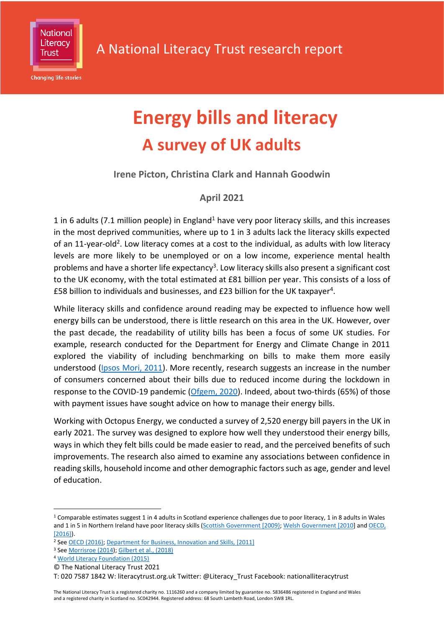

**Changing life stories** 

# **Energy bills and literacy A survey of UK adults**

# **Irene Picton, Christina Clark and Hannah Goodwin**

# **April 2021**

1 in 6 adults (7.1 million people) in England<sup>1</sup> have very poor literacy skills, and this increases in the most deprived communities, where up to 1 in 3 adults lack the literacy skills expected of an 11-year-old<sup>2</sup>. Low literacy comes at a cost to the individual, as adults with low literacy levels are more likely to be unemployed or on a low income, experience mental health problems and have a shorter life expectancy<sup>3</sup>. Low literacy skills also present a significant cost to the UK economy, with the total estimated at £81 billion per year. This consists of a loss of £58 billion to individuals and businesses, and £23 billion for the UK taxpayer<sup>4</sup>.

While literacy skills and confidence around reading may be expected to influence how well energy bills can be understood, there is little research on this area in the UK. However, over the past decade, the readability of utility bills has been a focus of some UK studies. For example, research conducted for the Department for Energy and Climate Change in 2011 explored the viability of including benchmarking on bills to make them more easily understood [\(Ipsos Mori, 2011\)](https://assets.publishing.service.gov.uk/government/uploads/system/uploads/attachment_data/file/48124/2136-empowering-households-research.pdf). More recently, research suggests an increase in the number of consumers concerned about their bills due to reduced income during the lockdown in response to the COVID-19 pandemic [\(Ofgem, 2020\)](https://www.ofgem.gov.uk/publications-and-updates/consumers-experiences-energy-during-covid-19-pandemic-summary-research-findings). Indeed, about two-thirds (65%) of those with payment issues have sought advice on how to manage their energy bills.

Working with Octopus Energy, we conducted a survey of 2,520 energy bill payers in the UK in early 2021. The survey was designed to explore how well they understood their energy bills, ways in which they felt bills could be made easier to read, and the perceived benefits of such improvements. The research also aimed to examine any associations between confidence in reading skills, household income and other demographic factors such as age, gender and level of education.

<sup>1</sup> Comparable estimates suggest 1 in 4 adults in Scotland experience challenges due to poor literacy, 1 in 8 adults in Wales and 1 in 5 in Northern Ireland have poor literacy skills (Scottish Government [2009]; [Welsh Government \[2010\]](http://gov.wales/docs/caecd/research/111208NatSurvAdultSkillsWales2010en.pdf) and OECD, [\[2016}\)](https://www.oecd.org/skills/piaac/Skills_Matter_Further_Results_from_the_Survey_of_Adult_Skills.pdf).

<sup>&</sup>lt;sup>2</sup> Se[e OECD \(2016\);](https://www.oecd.org/skills/piaac/Skills_Matter_Further_Results_from_the_Survey_of_Adult_Skills.pdf) [Department for Business, Innovation and Skills, \[2011\]](https://www.gov.uk/government/publications/2011-skills-for-life-survey)

<sup>3</sup> Se[e Morrisroe \(2014\)](https://literacytrust.org.uk/research-services/research-reports/literacy-changes-lives-2014-new-perspective-health-employment-and-crime/); [Gilbert et al., \(2018\)](https://literacytrust.org.uk/research-services/research-reports/literacy-and-life-expectancy/)

<sup>4</sup> [World Literacy Foundation \(2015\)](https://speakingbooks.com/wp-content/uploads/WLF-FINAL-ECONOMIC-REPORT.pdf)

<sup>©</sup> The National Literacy Trust 2021

T: 020 7587 1842 W: literacytrust.org.uk Twitter: @Literacy\_Trust Facebook: nationalliteracytrust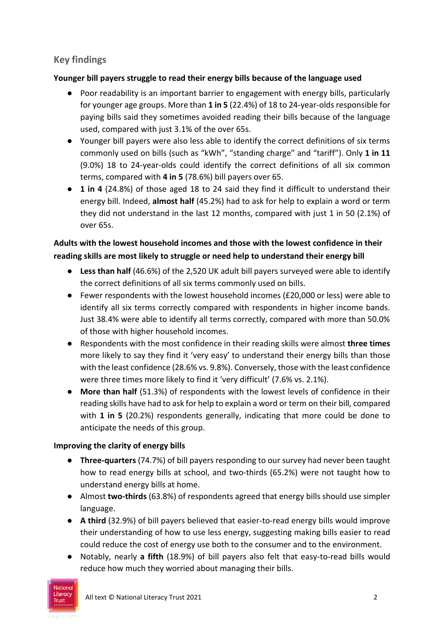# **Key findings**

## **Younger bill payers struggle to read their energy bills because of the language used**

- Poor readability is an important barrier to engagement with energy bills, particularly for younger age groups. More than **1 in 5** (22.4%) of 18 to 24-year-olds responsible for paying bills said they sometimes avoided reading their bills because of the language used, compared with just 3.1% of the over 65s.
- Younger bill payers were also less able to identify the correct definitions of six terms commonly used on bills (such as "kWh", "standing charge" and "tariff"). Only **1 in 11** (9.0%) 18 to 24-year-olds could identify the correct definitions of all six common terms, compared with **4 in 5** (78.6%) bill payers over 65.
- **1 in 4** (24.8%) of those aged 18 to 24 said they find it difficult to understand their energy bill. Indeed, **almost half** (45.2%) had to ask for help to explain a word or term they did not understand in the last 12 months, compared with just 1 in 50 (2.1%) of over 65s.

# **Adults with the lowest household incomes and those with the lowest confidence in their reading skills are most likely to struggle or need help to understand their energy bill**

- **Less than half** (46.6%) of the 2,520 UK adult bill payers surveyed were able to identify the correct definitions of all six terms commonly used on bills.
- Fewer respondents with the lowest household incomes (£20,000 or less) were able to identify all six terms correctly compared with respondents in higher income bands. Just 38.4% were able to identify all terms correctly, compared with more than 50.0% of those with higher household incomes.
- Respondents with the most confidence in their reading skills were almost **three times** more likely to say they find it 'very easy' to understand their energy bills than those with the least confidence (28.6% vs. 9.8%). Conversely, those with the least confidence were three times more likely to find it 'very difficult' (7.6% vs. 2.1%).
- **More than half** (51.3%) of respondents with the lowest levels of confidence in their reading skills have had to ask for help to explain a word or term on their bill, compared with **1 in 5** (20.2%) respondents generally, indicating that more could be done to anticipate the needs of this group.

# **Improving the clarity of energy bills**

- **Three-quarters** (74.7%) of bill payers responding to our survey had never been taught how to read energy bills at school, and two-thirds (65.2%) were not taught how to understand energy bills at home.
- Almost **two-thirds** (63.8%) of respondents agreed that energy bills should use simpler language.
- **A third** (32.9%) of bill payers believed that easier-to-read energy bills would improve their understanding of how to use less energy, suggesting making bills easier to read could reduce the cost of energy use both to the consumer and to the environment.
- Notably, nearly **a fifth** (18.9%) of bill payers also felt that easy-to-read bills would reduce how much they worried about managing their bills.

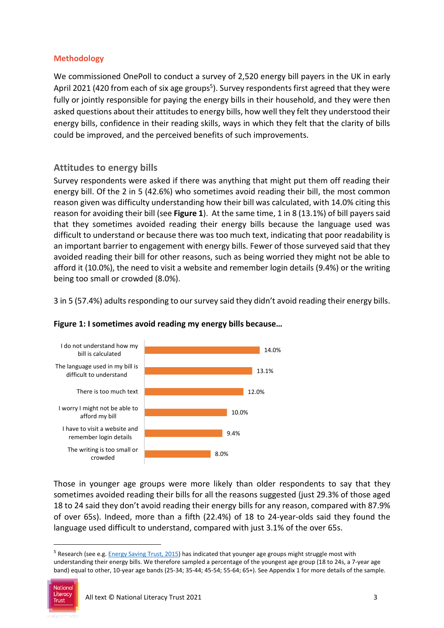#### **Methodology**

We commissioned OnePoll to conduct a survey of 2,520 energy bill payers in the UK in early April 2021 (420 from each of six age groups<sup>5</sup>). Survey respondents first agreed that they were fully or jointly responsible for paying the energy bills in their household, and they were then asked questions about their attitudes to energy bills, how well they felt they understood their energy bills, confidence in their reading skills, ways in which they felt that the clarity of bills could be improved, and the perceived benefits of such improvements.

### **Attitudes to energy bills**

Survey respondents were asked if there was anything that might put them off reading their energy bill. Of the 2 in 5 (42.6%) who sometimes avoid reading their bill, the most common reason given was difficulty understanding how their bill was calculated, with 14.0% citing this reason for avoiding their bill (see **Figure 1**). At the same time, 1 in 8 (13.1%) of bill payers said that they sometimes avoided reading their energy bills because the language used was difficult to understand or because there was too much text, indicating that poor readability is an important barrier to engagement with energy bills. Fewer of those surveyed said that they avoided reading their bill for other reasons, such as being worried they might not be able to afford it (10.0%), the need to visit a website and remember login details (9.4%) or the writing being too small or crowded (8.0%).

3 in 5 (57.4%) adults responding to our survey said they didn't avoid reading their energy bills.



#### **Figure 1: I sometimes avoid reading my energy bills because…**

Those in younger age groups were more likely than older respondents to say that they sometimes avoided reading their bills for all the reasons suggested (just 29.3% of those aged 18 to 24 said they don't avoid reading their energy bills for any reason, compared with 87.9% of over 65s). Indeed, more than a fifth (22.4%) of 18 to 24-year-olds said they found the language used difficult to understand, compared with just 3.1% of the over 65s.

<sup>&</sup>lt;sup>5</sup> Research (see e.g[. Energy Saving Trust, 2015\)](https://energysavingtrust.org.uk/about-us/news/energy-literacy-warning-only-7-cent-young-people-understand-bills) has indicated that younger age groups might struggle most with understanding their energy bills. We therefore sampled a percentage of the youngest age group (18 to 24s, a 7-year age band) equal to other, 10-year age bands (25-34; 35-44; 45-54; 55-64; 65+). See Appendix 1 for more details of the sample.

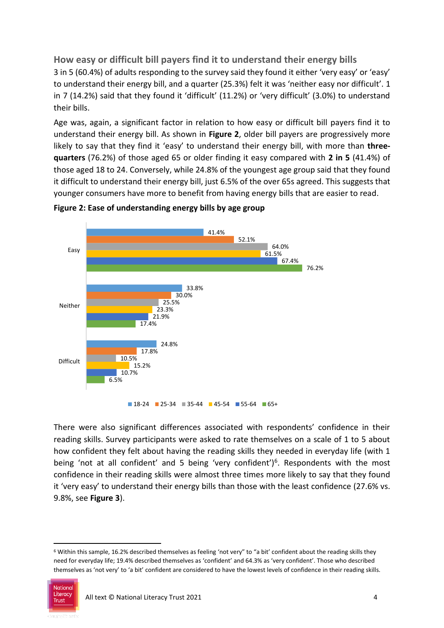**How easy or difficult bill payers find it to understand their energy bills** 3 in 5 (60.4%) of adults responding to the survey said they found it either 'very easy' or 'easy' to understand their energy bill, and a quarter (25.3%) felt it was 'neither easy nor difficult'. 1 in 7 (14.2%) said that they found it 'difficult' (11.2%) or 'very difficult' (3.0%) to understand their bills.

Age was, again, a significant factor in relation to how easy or difficult bill payers find it to understand their energy bill. As shown in **Figure 2**, older bill payers are progressively more likely to say that they find it 'easy' to understand their energy bill, with more than **threequarters** (76.2%) of those aged 65 or older finding it easy compared with **2 in 5** (41.4%) of those aged 18 to 24. Conversely, while 24.8% of the youngest age group said that they found it difficult to understand their energy bill, just 6.5% of the over 65s agreed. This suggests that younger consumers have more to benefit from having energy bills that are easier to read.





There were also significant differences associated with respondents' confidence in their reading skills. Survey participants were asked to rate themselves on a scale of 1 to 5 about how confident they felt about having the reading skills they needed in everyday life (with 1 being 'not at all confident' and 5 being 'very confident')<sup>6</sup>. Respondents with the most confidence in their reading skills were almost three times more likely to say that they found it 'very easy' to understand their energy bills than those with the least confidence (27.6% vs. 9.8%, see **Figure 3**).

<sup>6</sup> Within this sample, 16.2% described themselves as feeling 'not very" to "a bit' confident about the reading skills they need for everyday life; 19.4% described themselves as 'confident' and 64.3% as 'very confident'. Those who described themselves as 'not very' to 'a bit' confident are considered to have the lowest levels of confidence in their reading skills.

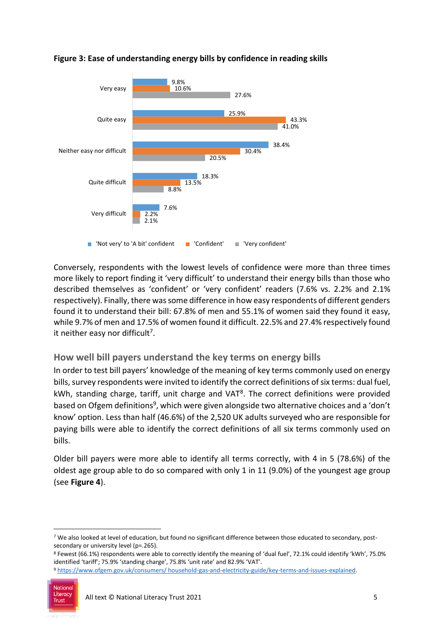

#### **Figure 3: Ease of understanding energy bills by confidence in reading skills**

Conversely, respondents with the lowest levels of confidence were more than three times more likely to report finding it 'very difficult' to understand their energy bills than those who described themselves as 'confident' or 'very confident' readers (7.6% vs. 2.2% and 2.1% respectively). Finally, there was some difference in how easy respondents of different genders found it to understand their bill: 67.8% of men and 55.1% of women said they found it easy, while 9.7% of men and 17.5% of women found it difficult. 22.5% and 27.4% respectively found it neither easy nor difficult<sup>7</sup>.

## **How well bill payers understand the key terms on energy bills**

In order to test bill payers' knowledge of the meaning of key terms commonly used on energy bills, survey respondents were invited to identify the correct definitions of six terms: dual fuel, kWh, standing charge, tariff, unit charge and VAT<sup>8</sup>. The correct definitions were provided based on Ofgem definitions<sup>9</sup>, which were given alongside two alternative choices and a 'don't know' option. Less than half (46.6%) of the 2,520 UK adults surveyed who are responsible for paying bills were able to identify the correct definitions of all six terms commonly used on bills.

Older bill payers were more able to identify all terms correctly, with 4 in 5 (78.6%) of the oldest age group able to do so compared with only 1 in 11 (9.0%) of the youngest age group (see **Figure 4**).

<sup>8</sup> Fewest (66.1%) respondents were able to correctly identify the meaning of 'dual fuel', 72.1% could identify 'kWh', 75.0% identified 'tariff'; 75.9% 'standing charge', 75.8% 'unit rate' and 82.9% 'VAT'. <sup>9</sup> [https://www.ofgem.gov.uk/consumers/ household-gas-and-electricity-guide/key-terms-and-issues-explained.](https://www.ofgem.gov.uk/consumers/%20household-gas-and-electricity-guide/key-terms-and-issues-explained)



1

<sup>7</sup> We also looked at level of education, but found no significant difference between those educated to secondary, postsecondary or university level (p=.265).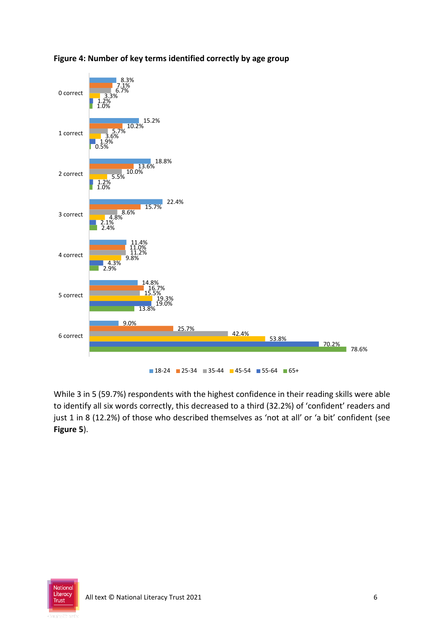



While 3 in 5 (59.7%) respondents with the highest confidence in their reading skills were able to identify all six words correctly, this decreased to a third (32.2%) of 'confident' readers and just 1 in 8 (12.2%) of those who described themselves as 'not at all' or 'a bit' confident (see **Figure 5**).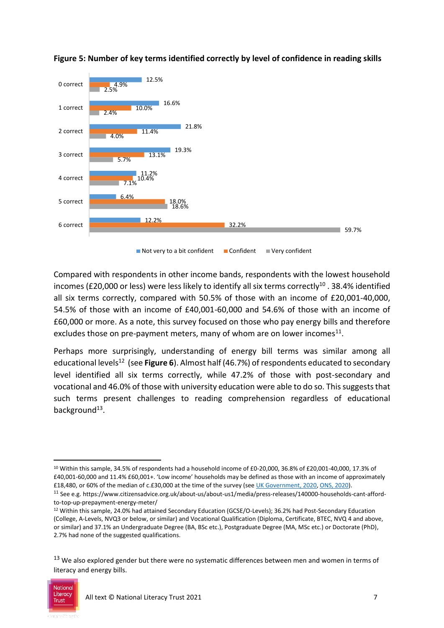



 $\blacksquare$  Not very to a bit confident  $\blacksquare$  Confident  $\blacksquare$  Very confident

Compared with respondents in other income bands, respondents with the lowest household incomes (£20,000 or less) were less likely to identify all six terms correctly<sup>10</sup>. 38.4% identified all six terms correctly, compared with 50.5% of those with an income of £20,001-40,000, 54.5% of those with an income of £40,001-60,000 and 54.6% of those with an income of £60,000 or more. As a note, this survey focused on those who pay energy bills and therefore excludes those on pre-payment meters, many of whom are on lower incomes $^{11}$ .

Perhaps more surprisingly, understanding of energy bill terms was similar among all educational levels<sup>12</sup> (see **Figure 6**). Almost half (46.7%) of respondents educated to secondary level identified all six terms correctly, while 47.2% of those with post-secondary and vocational and 46.0% of those with university education were able to do so. This suggests that such terms present challenges to reading comprehension regardless of educational background<sup>13</sup>.

<sup>&</sup>lt;sup>13</sup> We also explored gender but there were no systematic differences between men and women in terms of literacy and energy bills.



<sup>10</sup> Within this sample, 34.5% of respondents had a household income of £0-20,000, 36.8% of £20,001-40,000, 17.3% of £40,001-60,000 and 11.4% £60,001+. 'Low income' households may be defined as those with an income of approximately £18,480, or 60% of the median of c.£30,000 at the time of the survey (se[e UK Government, 2020,](https://www.gov.uk/government/publications/how-low-income-is-measured/text-only-how-low-income-is-measured) [ONS, 2020\)](https://www.ons.gov.uk/peoplepopulationandcommunity/personalandhouseholdfinances/incomeandwealth/bulletins/householddisposableincomeandinequality/financialyearending2020provisional#:~:text=The%20provisional%20estimate%20of%20median,30%2C100)%20shown%20in%20Figure%201.).

<sup>11</sup> See e.g. https://www.citizensadvice.org.uk/about-us/about-us1/media/press-releases/140000-households-cant-affordto-top-up-prepayment-energy-meter/

<sup>12</sup> Within this sample, 24.0% had attained Secondary Education (GCSE/O-Levels); 36.2% had Post-Secondary Education (College, A-Levels, NVQ3 or below, or similar) and Vocational Qualification (Diploma, Certificate, BTEC, NVQ 4 and above, or similar) and 37.1% an Undergraduate Degree (BA, BSc etc.), Postgraduate Degree (MA, MSc etc.) or Doctorate (PhD), 2.7% had none of the suggested qualifications.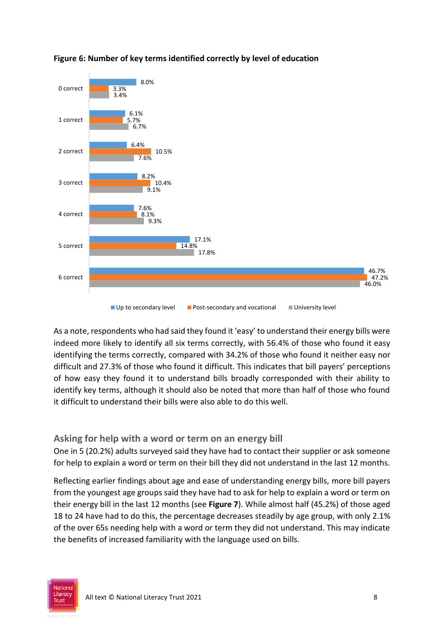

# **Figure 6: Number of key terms identified correctly by level of education**

As a note, respondents who had said they found it 'easy' to understand their energy bills were indeed more likely to identify all six terms correctly, with 56.4% of those who found it easy identifying the terms correctly, compared with 34.2% of those who found it neither easy nor difficult and 27.3% of those who found it difficult. This indicates that bill payers' perceptions of how easy they found it to understand bills broadly corresponded with their ability to identify key terms, although it should also be noted that more than half of those who found it difficult to understand their bills were also able to do this well.

## **Asking for help with a word or term on an energy bill**

One in 5 (20.2%) adults surveyed said they have had to contact their supplier or ask someone for help to explain a word or term on their bill they did not understand in the last 12 months.

Reflecting earlier findings about age and ease of understanding energy bills, more bill payers from the youngest age groups said they have had to ask for help to explain a word or term on their energy bill in the last 12 months (see **Figure 7**). While almost half (45.2%) of those aged 18 to 24 have had to do this, the percentage decreases steadily by age group, with only 2.1% of the over 65s needing help with a word or term they did not understand. This may indicate the benefits of increased familiarity with the language used on bills.

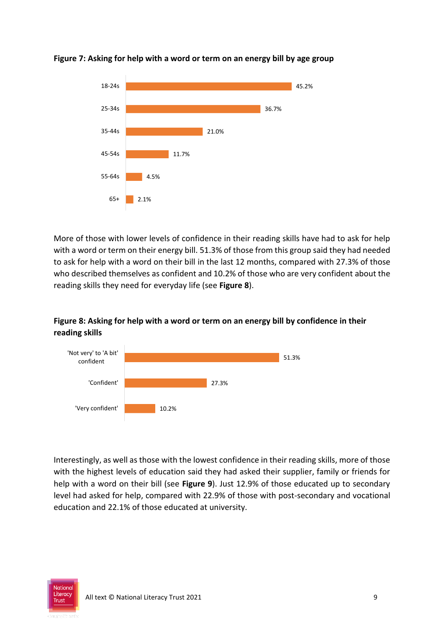

#### **Figure 7: Asking for help with a word or term on an energy bill by age group**

More of those with lower levels of confidence in their reading skills have had to ask for help with a word or term on their energy bill. 51.3% of those from this group said they had needed to ask for help with a word on their bill in the last 12 months, compared with 27.3% of those who described themselves as confident and 10.2% of those who are very confident about the reading skills they need for everyday life (see **Figure 8**).

## **Figure 8: Asking for help with a word or term on an energy bill by confidence in their reading skills**



Interestingly, as well as those with the lowest confidence in their reading skills, more of those with the highest levels of education said they had asked their supplier, family or friends for help with a word on their bill (see **Figure 9**). Just 12.9% of those educated up to secondary level had asked for help, compared with 22.9% of those with post-secondary and vocational education and 22.1% of those educated at university.

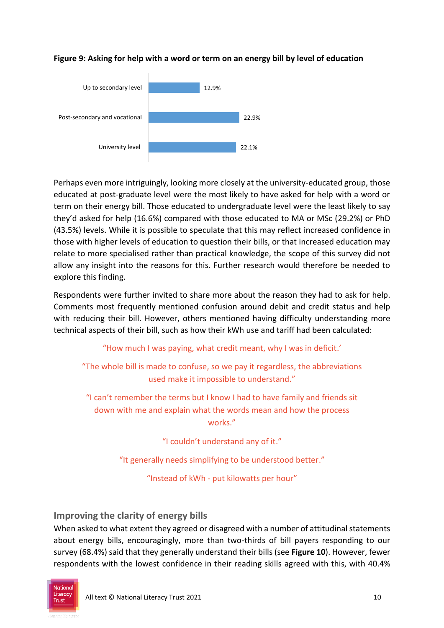

## **Figure 9: Asking for help with a word or term on an energy bill by level of education**

Perhaps even more intriguingly, looking more closely at the university-educated group, those educated at post-graduate level were the most likely to have asked for help with a word or term on their energy bill. Those educated to undergraduate level were the least likely to say they'd asked for help (16.6%) compared with those educated to MA or MSc (29.2%) or PhD (43.5%) levels. While it is possible to speculate that this may reflect increased confidence in those with higher levels of education to question their bills, or that increased education may relate to more specialised rather than practical knowledge, the scope of this survey did not allow any insight into the reasons for this. Further research would therefore be needed to explore this finding.

Respondents were further invited to share more about the reason they had to ask for help. Comments most frequently mentioned confusion around debit and credit status and help with reducing their bill. However, others mentioned having difficulty understanding more technical aspects of their bill, such as how their kWh use and tariff had been calculated:

"How much I was paying, what credit meant, why I was in deficit.'

"The whole bill is made to confuse, so we pay it regardless, the abbreviations used make it impossible to understand."

"I can't remember the terms but I know I had to have family and friends sit down with me and explain what the words mean and how the process works."

"I couldn't understand any of it."

"It generally needs simplifying to be understood better."

"Instead of kWh - put kilowatts per hour"

# **Improving the clarity of energy bills**

When asked to what extent they agreed or disagreed with a number of attitudinal statements about energy bills, encouragingly, more than two-thirds of bill payers responding to our survey (68.4%) said that they generally understand their bills (see **Figure 10**). However, fewer respondents with the lowest confidence in their reading skills agreed with this, with 40.4%

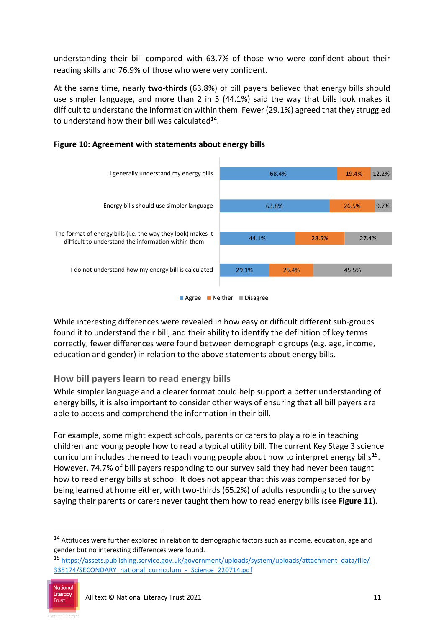understanding their bill compared with 63.7% of those who were confident about their reading skills and 76.9% of those who were very confident.

At the same time, nearly **two-thirds** (63.8%) of bill payers believed that energy bills should use simpler language, and more than 2 in 5 (44.1%) said the way that bills look makes it difficult to understand the information within them. Fewer (29.1%) agreed that they struggled to understand how their bill was calculated<sup>14</sup>.



## **Figure 10: Agreement with statements about energy bills**

While interesting differences were revealed in how easy or difficult different sub-groups found it to understand their bill, and their ability to identify the definition of key terms correctly, fewer differences were found between demographic groups (e.g. age, income, education and gender) in relation to the above statements about energy bills.

# **How bill payers learn to read energy bills**

While simpler language and a clearer format could help support a better understanding of energy bills, it is also important to consider other ways of ensuring that all bill payers are able to access and comprehend the information in their bill.

For example, some might expect schools, parents or carers to play a role in teaching children and young people how to read a typical utility bill. The current Key Stage 3 science curriculum includes the need to teach young people about how to interpret energy bills<sup>15</sup>. However, 74.7% of bill payers responding to our survey said they had never been taught how to read energy bills at school. It does not appear that this was compensated for by being learned at home either, with two-thirds (65.2%) of adults responding to the survey saying their parents or carers never taught them how to read energy bills (see **Figure 11**).

<sup>15</sup> [https://assets.publishing.service.gov.uk/government/uploads/system/uploads/attachment\\_data/file/](https://assets.publishing.service.gov.uk/government/uploads/system/uploads/attachment_data/file/%20335174/SECONDARY_national_curriculum_-_Science_220714.pdf)  335174/SECONDARY\_national\_curriculum - Science\_220714.pdf



<sup>14</sup> Attitudes were further explored in relation to demographic factors such as income, education, age and gender but no interesting differences were found.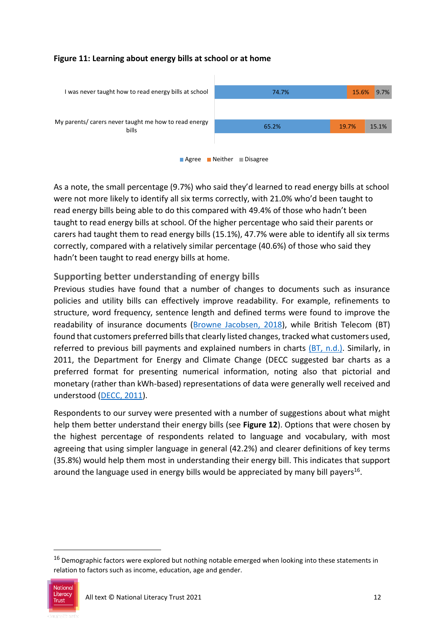#### **Figure 11: Learning about energy bills at school or at home**





As a note, the small percentage (9.7%) who said they'd learned to read energy bills at school were not more likely to identify all six terms correctly, with 21.0% who'd been taught to read energy bills being able to do this compared with 49.4% of those who hadn't been taught to read energy bills at school. Of the higher percentage who said their parents or carers had taught them to read energy bills (15.1%), 47.7% were able to identify all six terms correctly, compared with a relatively similar percentage (40.6%) of those who said they hadn't been taught to read energy bills at home.

# **Supporting better understanding of energy bills**

Previous studies have found that a number of changes to documents such as insurance policies and utility bills can effectively improve readability. For example, refinements to structure, word frequency, sentence length and defined terms were found to improve the readability of insurance documents [\(Browne Jacobsen, 2018\)](https://www.brownejacobson.com/-/media/files/pdf-documents/insurance/bj%20eye%20tracking%20thought%20leadership%20report%20optimised), while British Telecom (BT) found that customers preferred bills that clearly listed changes, tracked what customers used, referred to previous bill payments and explained numbers in charts [\(BT, n.d.\).](https://www.bt.com/manage/newlookbill) Similarly, in 2011, the Department for Energy and Climate Change (DECC suggested bar charts as a preferred format for presenting numerical information, noting also that pictorial and monetary (rather than kWh-based) representations of data were generally well received and understood [\(DECC, 2011\)](https://assets.publishing.service.gov.uk/government/uploads/system/uploads/attachment_data/file/48124/2136-empowering-households-research.pdf).

Respondents to our survey were presented with a number of suggestions about what might help them better understand their energy bills (see **Figure 12**). Options that were chosen by the highest percentage of respondents related to language and vocabulary, with most agreeing that using simpler language in general (42.2%) and clearer definitions of key terms (35.8%) would help them most in understanding their energy bill. This indicates that support around the language used in energy bills would be appreciated by many bill payers<sup>16</sup>.

<sup>&</sup>lt;sup>16</sup> Demographic factors were explored but nothing notable emerged when looking into these statements in relation to factors such as income, education, age and gender.

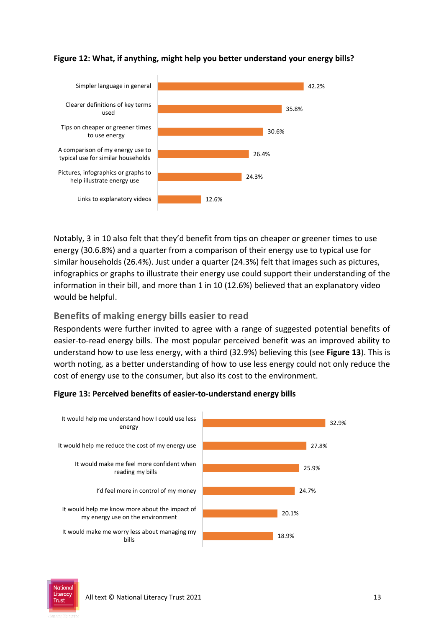

#### **Figure 12: What, if anything, might help you better understand your energy bills?**

Notably, 3 in 10 also felt that they'd benefit from tips on cheaper or greener times to use energy (30.6.8%) and a quarter from a comparison of their energy use to typical use for similar households (26.4%). Just under a quarter (24.3%) felt that images such as pictures, infographics or graphs to illustrate their energy use could support their understanding of the information in their bill, and more than 1 in 10 (12.6%) believed that an explanatory video would be helpful.

## **Benefits of making energy bills easier to read**

Respondents were further invited to agree with a range of suggested potential benefits of easier-to-read energy bills. The most popular perceived benefit was an improved ability to understand how to use less energy, with a third (32.9%) believing this (see **Figure 13**). This is worth noting, as a better understanding of how to use less energy could not only reduce the cost of energy use to the consumer, but also its cost to the environment.

#### **Figure 13: Perceived benefits of easier-to-understand energy bills**



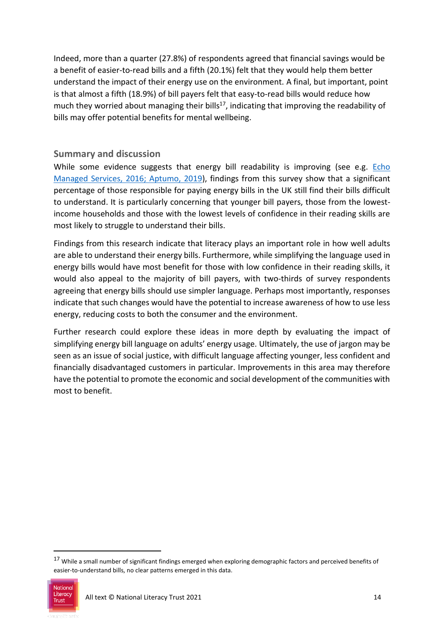Indeed, more than a quarter (27.8%) of respondents agreed that financial savings would be a benefit of easier-to-read bills and a fifth (20.1%) felt that they would help them better understand the impact of their energy use on the environment. A final, but important, point is that almost a fifth (18.9%) of bill payers felt that easy-to-read bills would reduce how much they worried about managing their bills<sup>17</sup>, indicating that improving the readability of bills may offer potential benefits for mental wellbeing.

### **Summary and discussion**

While some evidence suggests that energy bill readability is improving (see e.g. Echo [Managed Services, 2016;](https://www.echo-ms.com/uploads/resources/the-secrets-of-better-billing.pdf) [Aptumo, 2019\)](https://www.aptumo.com/aptumo-documents/aptumo-the-secrets-of-better-billing-uk.pdf), findings from this survey show that a significant percentage of those responsible for paying energy bills in the UK still find their bills difficult to understand. It is particularly concerning that younger bill payers, those from the lowestincome households and those with the lowest levels of confidence in their reading skills are most likely to struggle to understand their bills.

Findings from this research indicate that literacy plays an important role in how well adults are able to understand their energy bills. Furthermore, while simplifying the language used in energy bills would have most benefit for those with low confidence in their reading skills, it would also appeal to the majority of bill payers, with two-thirds of survey respondents agreeing that energy bills should use simpler language. Perhaps most importantly, responses indicate that such changes would have the potential to increase awareness of how to use less energy, reducing costs to both the consumer and the environment.

Further research could explore these ideas in more depth by evaluating the impact of simplifying energy bill language on adults' energy usage. Ultimately, the use of jargon may be seen as an issue of social justice, with difficult language affecting younger, less confident and financially disadvantaged customers in particular. Improvements in this area may therefore have the potential to promote the economic and social development of the communities with most to benefit.

<sup>17</sup> While a small number of significant findings emerged when exploring demographic factors and perceived benefits of easier-to-understand bills, no clear patterns emerged in this data.